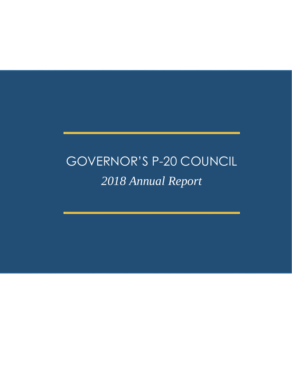# GOVERNOR'S P-20 COUNCIL *2018 Annual Report*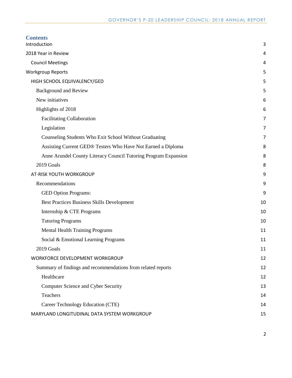| <b>Contents</b><br>Introduction                                 | 3  |
|-----------------------------------------------------------------|----|
| 2018 Year in Review                                             | 4  |
| <b>Council Meetings</b>                                         | 4  |
| <b>Workgroup Reports</b>                                        | 5  |
| HIGH SCHOOL EQUIVALENCY/GED                                     | 5  |
| <b>Background and Review</b>                                    | 5  |
| New initiatives                                                 | 6  |
| Highlights of 2018                                              | 6  |
| <b>Facilitating Collaboration</b>                               | 7  |
| Legislation                                                     | 7  |
| Counseling Students Who Exit School Without Graduating          | 7  |
| Assisting Current GED® Testers Who Have Not Earned a Diploma    | 8  |
| Anne Arundel County Literacy Council Tutoring Program Expansion | 8  |
| 2019 Goals                                                      | 8  |
| AT-RISK YOUTH WORKGROUP                                         | 9  |
| Recommendations                                                 | 9  |
| <b>GED Option Programs:</b>                                     | 9  |
| Best Practices Business Skills Development                      | 10 |
| Internship & CTE Programs                                       | 10 |
| <b>Tutoring Programs</b>                                        | 10 |
| <b>Mental Health Training Programs</b>                          | 11 |
| Social & Emotional Learning Programs                            | 11 |
| 2019 Goals                                                      | 11 |
| WORKFORCE DEVELOPMENT WORKGROUP                                 | 12 |
| Summary of findings and recommendations from related reports    | 12 |
| Healthcare                                                      | 12 |
| Computer Science and Cyber Security                             | 13 |
| Teachers                                                        | 14 |
| Career Technology Education (CTE)                               | 14 |
| MARYLAND LONGITUDINAL DATA SYSTEM WORKGROUP                     | 15 |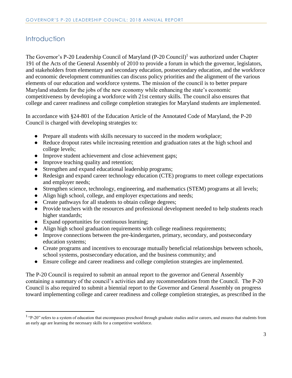# <span id="page-2-0"></span>**Introduction**

 $\overline{a}$ 

The Governor's P-20 Leadership Council of Maryland (P-20 Council)<sup>1</sup> was authorized under Chapter 191 of the Acts of the General Assembly of 2010 to provide a forum in which the governor, legislators, and stakeholders from elementary and secondary education, postsecondary education, and the workforce and economic development communities can discuss policy priorities and the alignment of the various elements of our education and workforce systems. The mission of the council is to better prepare Maryland students for the jobs of the new economy while enhancing the state's economic competitiveness by developing a workforce with 21st century skills. The council also ensures that college and career readiness and college completion strategies for Maryland students are implemented.

In accordance with §24-801 of the Education Article of the Annotated Code of Maryland, the P-20 Council is charged with developing strategies to:

- Prepare all students with skills necessary to succeed in the modern workplace;
- Reduce dropout rates while increasing retention and graduation rates at the high school and college levels;
- Improve student achievement and close achievement gaps;
- Improve teaching quality and retention;
- Strengthen and expand educational leadership programs;
- Redesign and expand career technology education (CTE) programs to meet college expectations and employer needs;
- Strengthen science, technology, engineering, and mathematics (STEM) programs at all levels;
- Align high school, college, and employer expectations and needs;
- Create pathways for all students to obtain college degrees;
- Provide teachers with the resources and professional development needed to help students reach higher standards;
- Expand opportunities for continuous learning;
- Align high school graduation requirements with college readiness requirements;
- Improve connections between the pre-kindergarten, primary, secondary, and postsecondary education systems;
- Create programs and incentives to encourage mutually beneficial relationships between schools, school systems, postsecondary education, and the business community; and
- Ensure college and career readiness and college completion strategies are implemented.

The P-20 Council is required to submit an annual report to the governor and General Assembly containing a summary of the council's activities and any recommendations from the Council. The P-20 Council is also required to submit a biennial report to the Governor and General Assembly on progress toward implementing college and career readiness and college completion strategies, as prescribed in the

<sup>&</sup>lt;sup>1</sup> "P-20" refers to a system of education that encompasses preschool through graduate studies and/or careers, and ensures that students from an early age are learning the necessary skills for a competitive workforce.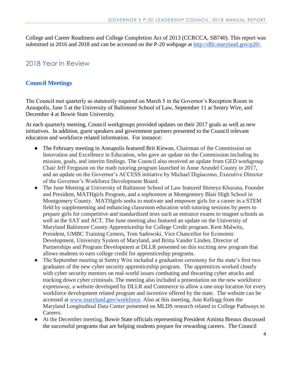College and Career Readiness and College Completion Act of 2013 (CCRCCA, SB740). This report was submitted in 2016 and 2018 and can be accessed on the P-20 webpage at [http://dllr.maryland.gov/p20/.](http://dllr.maryland.gov/p20/)

# <span id="page-3-0"></span>2018 Year in Review

# <span id="page-3-1"></span>**Council Meetings**

The Council met quarterly as statutorily required on March 5 in the Governor's Reception Room in Annapolis, June 5 at the University of Baltimore School of Law, September 11 at Sentry Wire, and December 4 at Bowie State University.

At each quarterly meeting, Council workgroups provided updates on their 2017 goals as well as new initiatives. In addition, guest speakers and government partners presented to the Council relevant education and workforce related information. For instance:

- The February meeting in Annapolis featured Brit Kirwan, Chairman of the Commission on Innovation and Excellence in Education, who gave an update on the Commission including its mission, goals, and interim findings. The Council also received an update from GED workgroup Chair Jeff Ferguson on the math tutoring program launched in Anne Arundel County in 2017, and an update on the Governor's ACCESS initiative by Michael Digiacomo, Executive Director of the Governor's Workforce Development Board.
- The June Meeting at University of Baltimore School of Law featured Shreeya Khurana, Founder and President, MATHgirls Program, and a sophomore at Montgomery Blair High School in Montgomery County. MATHgirls seeks to motivate and empower girls for a career in a STEM field by supplementing and enhancing classroom education with tutoring sessions by peers to prepare girls for competitive and standardized tests such as entrance exams to magnet schools as well as the SAT and ACT. The June meeting also featured an update on the University of Maryland Baltimore County Apprenticeship for College Credit program. Kent Malwitz, President, UMBC Training Centers, Tom Sadowski, Vice Chancellor for Economic Development, University System of Maryland, and Britta Vander Linden, Director of Partnerships and Program Development at DLLR presented on this exciting new program that allows students to earn college credit for apprenticeship programs.
- The September meeting at Sentry Wire included a graduation ceremony for the state's first two graduates of the new cyber security apprenticeship program. The apprentices worked closely with cyber security mentors on real-world issues combating and thwarting cyber attacks and tracking down cyber criminals. The meeting also included a presentation on the new workforce expressway, a website developed by DLLR and Commerce to allow a one-stop location for every workforce development related program and incentive offered by the state. The website can be accessed at [www.maryland.gov/workforce.](http://www.maryland.gov/workforce) Also at this meeting, Ann Kellogg from the Maryland Longitudinal Data Center presented on MLDS research related to College Pathways to Careers.
- At the December meeting, Bowie State officials representing President Aminta Breaux discussed the successful programs that are helping students prepare for rewarding careers. The Council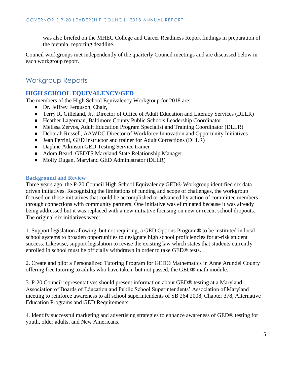was also briefed on the MHEC College and Career Readiness Report findings in preparation of the biennial reporting deadline.

Council workgroups met independently of the quarterly Council meetings and are discussed below in each workgroup report.

# <span id="page-4-0"></span>Workgroup Reports

# <span id="page-4-1"></span>**HIGH SCHOOL EQUIVALENCY/GED**

The members of the High School Equivalency Workgroup for 2018 are:

- Dr. Jeffrey Ferguson, Chair,
- Terry R. Gilleland, Jr., Director of Office of Adult Education and Literacy Services (DLLR)
- Heather Lagerman, Baltimore County Public Schools Leadership Coordinator
- Melissa Zervos, Adult Education Program Specialist and Training Coordinator (DLLR)
- Deborah Russell, AAWDC Director of Workforce Innovation and Opportunity Initiatives
- Jean Perrini, GED instructor and trainer for Adult Corrections (DLLR)
- Daphne Atkinson GED Testing Service trainer
- Adora Beard, GEDTS Maryland State Relationship Manager,
- Molly Dugan, Maryland GED Administrator (DLLR)

#### <span id="page-4-2"></span>**Background and Review**

Three years ago, the P-20 Council High School Equivalency GED® Workgroup identified six data driven initiatives. Recognizing the limitations of funding and scope of challenges, the workgroup focused on those initiatives that could be accomplished or advanced by action of committee members through connections with community partners. One initiative was eliminated because it was already being addressed but it was replaced with a new initiative focusing on new or recent school dropouts. The original six initiatives were:

1. Support legislation allowing, but not requiring, a GED Options Program® to be instituted in local school systems to broaden opportunities to designate high school proficiencies for at-risk student success. Likewise, support legislation to revise the existing law which states that students currently enrolled in school must be officially withdrawn in order to take GED® tests.

2. Create and pilot a Personalized Tutoring Program for GED® Mathematics in Anne Arundel County offering free tutoring to adults who have taken, but not passed, the GED® math module.

3. P-20 Council representatives should present information about GED® testing at a Maryland Association of Boards of Education and Public School Superintendents' Association of Maryland meeting to reinforce awareness to all school superintendents of SB 264 2008, Chapter 378, Alternative Education Programs and GED Requirements.

4. Identify successful marketing and advertising strategies to enhance awareness of GED® testing for youth, older adults, and New Americans.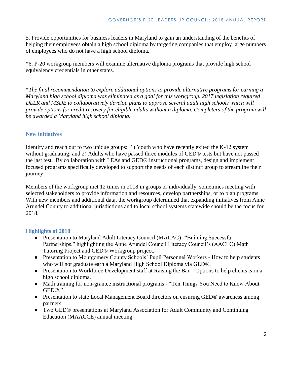5. Provide opportunities for business leaders in Maryland to gain an understanding of the benefits of helping their employees obtain a high school diploma by targeting companies that employ large numbers of employees who do not have a high school diploma.

\*6. P-20 workgroup members will examine alternative diploma programs that provide high school equivalency credentials in other states.

\**The final recommendation to explore additional options to provide alternative programs for earning a Maryland high school diploma was eliminated as a goal for this workgroup. 2017 legislation required DLLR and MSDE to collaboratively develop plans to approve several adult high schools which will provide options for credit recovery for eligible adults without a diploma. Completers of the program will be awarded a Maryland high school diploma.*

# <span id="page-5-0"></span>**New initiatives**

Identify and reach out to two unique groups: 1) Youth who have recently exited the K-12 system without graduating; and 2) Adults who have passed three modules of GED® tests but have not passed the last test. By collaboration with LEAs and GED® instructional programs, design and implement focused programs specifically developed to support the needs of each distinct group to streamline their journey.

Members of the workgroup met 12 times in 2018 in groups or individually, sometimes meeting with selected stakeholders to provide information and resources, develop partnerships, or to plan programs. With new members and additional data, the workgroup determined that expanding initiatives from Anne Arundel County to additional jurisdictions and to local school systems statewide should be the focus for 2018.

# <span id="page-5-1"></span>**Highlights of 2018**

- Presentation to Maryland Adult Literacy Council (MALAC) -"Building Successful Partnerships," highlighting the Anne Arundel Council Literacy Council's (AACLC) Math Tutoring Project and GED® Workgroup project.
- Presentation to Montgomery County Schools' Pupil Personnel Workers How to help students who will not graduate earn a Maryland High School Diploma via GED®.
- Presentation to Workforce Development staff at Raising the Bar Options to help clients earn a high school diploma.
- Math training for non-grantee instructional programs "Ten Things You Need to Know About GED®."
- Presentation to state Local Management Board directors on ensuring GED® awareness among partners.
- Two GED® presentations at Maryland Association for Adult Community and Continuing Education (MAACCE) annual meeting.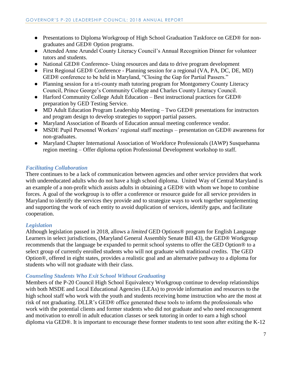- Presentations to Diploma Workgroup of High School Graduation Taskforce on GED® for nongraduates and GED® Option programs.
- Attended Anne Arundel County Literacy Council's Annual Recognition Dinner for volunteer tutors and students.
- National GED® Conference- Using resources and data to drive program development
- First Regional GED® Conference Planning session for a regional (VA, PA, DC, DE, MD) GED® conference to be held in Maryland, "Closing the Gap for Partial Passers."
- Planning session for a tri-county math tutoring program for Montgomery County Literacy Council, Prince George's Community College and Charles County Literacy Council.
- Harford Community College Adult Education Best instructional practices for GED® preparation by GED Testing Service.
- MD Adult Education Program Leadership Meeting Two GED® presentations for instructors and program design to develop strategies to support partial passers.
- Maryland Association of Boards of Education annual meeting conference vendor.
- MSDE Pupil Personnel Workers' regional staff meetings presentation on GED® awareness for non-graduates.
- Maryland Chapter International Association of Workforce Professionals (IAWP) Susquehanna region meeting – Offer diploma option Professional Development workshop to staff.

# <span id="page-6-0"></span>*Facilitating Collaboration*

There continues to be a lack of communication between agencies and other service providers that work with undereducated adults who do not have a high school diploma. United Way of Central Maryland is an example of a non-profit which assists adults in obtaining a GED® with whom we hope to combine forces. A goal of the workgroup is to offer a conference or resource guide for all service providers in Maryland to identify the services they provide and to strategize ways to work together supplementing and supporting the work of each entity to avoid duplication of services, identify gaps, and facilitate cooperation.

# <span id="page-6-1"></span>*Legislation*

Although legislation passed in 2018, allows a *limited* GED Options® program for English Language Learners in select jurisdictions, (Maryland General Assembly Senate Bill 43), the GED® Workgroup recommends that the language be expanded to permit school systems to offer the GED Option® to a select group of currently enrolled students who will not graduate with traditional credits. The GED Option®, offered in eight states, provides a realistic goal and an alternative pathway to a diploma for students who will not graduate with their class.

# <span id="page-6-2"></span>*Counseling Students Who Exit School Without Graduating*

Members of the P-20 Council High School Equivalency Workgroup continue to develop relationships with both MSDE and Local Educational Agencies (LEAs) to provide information and resources to the high school staff who work with the youth and students receiving home instruction who are the most at risk of not graduating. DLLR's GED® office generated these tools to inform the professionals who work with the potential clients and former students who did not graduate and who need encouragement and motivation to enroll in adult education classes or seek tutoring in order to earn a high school diploma via GED®. It is important to encourage these former students to test soon after exiting the K-12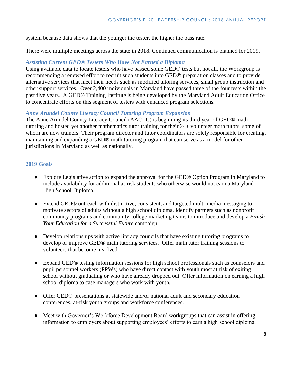system because data shows that the younger the tester, the higher the pass rate.

There were multiple meetings across the state in 2018. Continued communication is planned for 2019.

#### <span id="page-7-0"></span>*Assisting Current GED® Testers Who Have Not Earned a Diploma*

Using available data to locate testers who have passed some GED® tests but not all, the Workgroup is recommending a renewed effort to recruit such students into GED® preparation classes and to provide alternative services that meet their needs such as modified tutoring services, small group instruction and other support services. Over 2,400 individuals in Maryland have passed three of the four tests within the past five years. A GED® Training Institute is being developed by the Maryland Adult Education Office to concentrate efforts on this segment of testers with enhanced program selections.

#### <span id="page-7-1"></span>*Anne Arundel County Literacy Council Tutoring Program Expansion*

The Anne Arundel County Literacy Council (AACLC) is beginning its third year of GED® math tutoring and hosted yet another mathematics tutor training for their 24+ volunteer math tutors, some of whom are now trainers. Their program director and tutor coordinators are solely responsible for creating, maintaining and expanding a GED® math tutoring program that can serve as a model for other jurisdictions in Maryland as well as nationally.

#### <span id="page-7-2"></span>**2019 Goals**

- Explore Legislative action to expand the approval for the GED® Option Program in Maryland to include availability for additional at-risk students who otherwise would not earn a Maryland High School Diploma.
- Extend GED® outreach with distinctive, consistent, and targeted multi-media messaging to motivate sectors of adults without a high school diploma. Identify partners such as nonprofit community programs and community college marketing teams to introduce and develop a *Finish Your Education for a Successful Future* campaign.
- Develop relationships with active literacy councils that have existing tutoring programs to develop or improve GED® math tutoring services. Offer math tutor training sessions to volunteers that become involved.
- Expand GED® testing information sessions for high school professionals such as counselors and pupil personnel workers (PPWs) who have direct contact with youth most at risk of exiting school without graduating or who have already dropped out. Offer information on earning a high school diploma to case managers who work with youth.
- Offer GED® presentations at statewide and/or national adult and secondary education conferences, at-risk youth groups and workforce conferences.
- Meet with Governor's Workforce Development Board workgroups that can assist in offering information to employers about supporting employees' efforts to earn a high school diploma.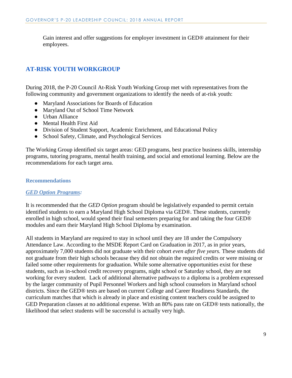Gain interest and offer suggestions for employer investment in GED® attainment for their employees.

# <span id="page-8-0"></span>**AT-RISK YOUTH WORKGROUP**

During 2018, the P-20 Council At-Risk Youth Working Group met with representatives from the following community and government organizations to identify the needs of at-risk youth:

- Maryland Associations for Boards of Education
- Maryland Out of School Time Network
- Urban Alliance
- Mental Health First Aid
- Division of Student Support, Academic Enrichment, and Educational Policy
- School Safety, Climate, and Psychological Services

The Working Group identified six target areas: GED programs, best practice business skills, internship programs, tutoring programs, mental health training, and social and emotional learning. Below are the recommendations for each target area.

#### <span id="page-8-1"></span>**Recommendations**

#### <span id="page-8-2"></span>*GED Option Programs:*

It is recommended that the *GED Option* program should be legislatively expanded to permit certain identified students to earn a Maryland High School Diploma via GED®. These students, currently enrolled in high school, would spend their final semesters preparing for and taking the four GED® modules and earn their Maryland High School Diploma by examination.

All students in Maryland are required to stay in school until they are 18 under the Compulsory Attendance Law. According to the MSDE Report Card on Graduation in 2017, as in prior years, approximately 7,000 students did not graduate with their cohort *even after five years.* These students did not graduate from their high schools because they did not obtain the required credits or were missing or failed some other requirements for graduation. While some alternative opportunities exist for these students, such as in-school credit recovery programs, night school or Saturday school, they are not working for every student. Lack of additional alternative pathways to a diploma is a problem expressed by the larger community of Pupil Personnel Workers and high school counselors in Maryland school districts. Since the GED® tests are based on current College and Career Readiness Standards, the curriculum matches that which is already in place and existing content teachers could be assigned to GED Preparation classes at no additional expense. With an 80% pass rate on GED® tests nationally, the likelihood that select students will be successful is actually very high.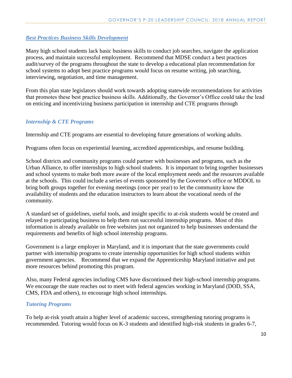# <span id="page-9-0"></span>*Best Practices Business Skills Development*

Many high school students lack basic business skills to conduct job searches, navigate the application process, and maintain successful employment. Recommend that MDSE conduct a best practices audit/survey of the programs throughout the state to develop a educational plan recommendation for school systems to adopt best practice programs would focus on resume writing, job searching, interviewing, negotiation, and time management.

From this plan state legislators should work towards adopting statewide recommendations for activities that promotes these best practice business skills. Additionally, the Governor's Office could take the lead on enticing and incentivizing business participation in internship and CTE programs through

# <span id="page-9-1"></span>*Internship & CTE Programs*

Internship and CTE programs are essential to developing future generations of working adults.

Programs often focus on experiential learning, accredited apprenticeships, and resume building.

School districts and community programs could partner with businesses and programs, such as the Urban Alliance, to offer internships to high school students. It is important to bring together businesses and school systems to make both more aware of the local employment needs and the resources available at the schools. This could include a series of events sponsored by the Governor's office or MDDOL to bring both groups together for evening meetings (once per year) to let the community know the availability of students and the education instructors to learn about the vocational needs of the community.

A standard set of guidelines, useful tools, and insight specific to at-risk students would be created and relayed to participating business to help them run successful internship programs. Most of this information is already available on free websites just not organized to help businesses understand the requirements and benefits of high school internship programs.

Government is a large employer in Maryland, and it is important that the state governments could partner with internship programs to create internship opportunities for high school students within government agencies. Recommend that we expand the Apprenticeship Maryland initiative and put more resources behind promoting this program.

Also, many Federal agencies including CMS have discontinued their high-school internship programs. We encourage the state reaches out to meet with federal agencies working in Maryland (DOD, SSA, CMS, FDA and others), to encourage high school internships.

# <span id="page-9-2"></span>*Tutoring Programs*

To help at-risk youth attain a higher level of academic success, strengthening tutoring programs is recommended. Tutoring would focus on K-3 students and identified high-risk students in grades 6-7,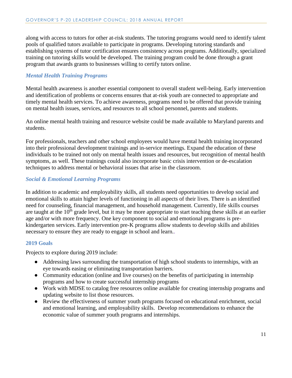along with access to tutors for other at-risk students. The tutoring programs would need to identify talent pools of qualified tutors available to participate in programs. Developing tutoring standards and establishing systems of tutor certification ensures consistency across programs. Additionally, specialized training on tutoring skills would be developed. The training program could be done through a grant program that awards grants to businesses willing to certify tutors online.

# <span id="page-10-0"></span>*Mental Health Training Programs*

Mental health awareness is another essential component to overall student well-being. Early intervention and identification of problems or concerns ensures that at-risk youth are connected to appropriate and timely mental health services. To achieve awareness, programs need to be offered that provide training on mental health issues, services, and resources to all school personnel, parents and students.

An online mental health training and resource website could be made available to Maryland parents and students.

For professionals, teachers and other school employees would have mental health training incorporated into their professional development trainings and in-service meetings. Expand the education of these individuals to be trained not only on mental health issues and resources, but recognition of mental health symptoms, as well. These trainings could also incorporate basic crisis intervention or de-escalation techniques to address mental or behavioral issues that arise in the classroom.

#### <span id="page-10-1"></span>*Social & Emotional Learning Programs*

In addition to academic and employability skills, all students need opportunities to develop social and emotional skills to attain higher levels of functioning in all aspects of their lives. There is an identified need for counseling, financial management, and household management. Currently, life skills courses are taught at the  $10<sup>th</sup>$  grade level, but it may be more appropriate to start teaching these skills at an earlier age and/or with more frequency. One key component to social and emotional programs is prekindergarten services. Early intervention pre-K programs allow students to develop skills and abilities necessary to ensure they are ready to engage in school and learn..

#### <span id="page-10-2"></span>**2019 Goals**

Projects to explore during 2019 include:

- Addressing laws surrounding the transportation of high school students to internships, with an eye towards easing or eliminating transportation barriers.
- Community education (online and live courses) on the benefits of participating in internship programs and how to create successful internship programs
- Work with MDSE to catalog free resources online available for creating internship programs and updating website to list those resources.
- Review the effectiveness of summer youth programs focused on educational enrichment, social and emotional learning, and employability skills. Develop recommendations to enhance the economic value of summer youth programs and internships.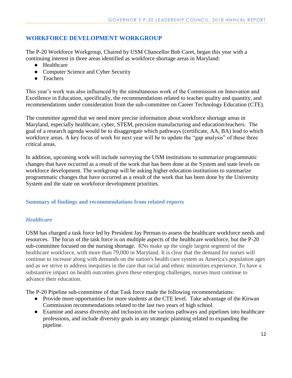# <span id="page-11-0"></span>**WORKFORCE DEVELOPMENT WORKGROUP**

The P-20 Workforce Workgroup, Chaired by USM Chancellor Bob Caret, began this year with a continuing interest in three areas identified as workforce shortage areas in Maryland:

- Healthcare
- Computer Science and Cyber Security
- Teachers

This year's work was also influenced by the simultaneous work of the Commission on Innovation and Excellence in Education, specifically, the recommendations related to teacher quality and quantity, and recommendations under consideration from the sub-committee on Career Technology Education (CTE).

The committee agreed that we need more precise information about workforce shortage areas in Maryland, especially healthcare, cyber, STEM, precision manufacturing and education/teachers. The goal of a research agenda would be to disaggregate which pathways (certificate, AA, BA) lead to which workforce areas. A key focus of work for next year will be to update the "gap analysis" of these three critical areas.

In addition, upcoming work will include surveying the USM institutions to summarize programmatic changes that have occurred as a result of the work that has been done at the System and state levels on workforce development. The workgroup will be asking higher education institutions to summarize programmatic changes that have occurred as a result of the work that has been done by the University System and the state on workforce development priorities.

# <span id="page-11-1"></span>**Summary of findings and recommendations from related reports**

# <span id="page-11-2"></span>*Healthcare*

USM has charged a task force led by President Jay Perman to assess the healthcare workforce needs and resources. The focus of the task force is on multiple aspects of the healthcare workforce, but the P-20 sub-committee focused on the nursing shortage. RNs make up the single largest segment of the healthcare workforce, with more than 79,000 in Maryland. It is clear that the demand for nurses will continue to increase along with demands on the nation's health care system as America's population ages and as we strive to address inequities in the care that racial and ethnic minorities experience. To have a substantive impact on health outcomes given these emerging challenges, nurses must continue to advance their education.

The P-20 Pipeline sub-committee of that Task force made the following recommendations:

- Provide more opportunities for more students at the CTE level. Take advantage of the Kirwan Commission recommendations related to the last two years of high school.
- Examine and assess diversity and inclusion in the various pathways and pipelines into healthcare professions, and include diversity goals in any strategic planning related to expanding the pipeline.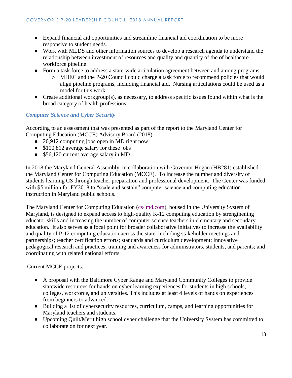- Expand financial aid opportunities and streamline financial aid coordination to be more responsive to student needs.
- Work with MLDS and other information sources to develop a research agenda to understand the relationship between investment of resources and quality and quantity of the of healthcare workforce pipeline.
- Form a task force to address a state-wide articulation agreement between and among programs.
	- o MHEC and the P-20 Council could charge a task force to recommend policies that would align pipeline programs, including financial aid. Nursing articulations could be used as a model for this work.
- Create additional workgroup(s), as necessary, to address specific issues found within what is the broad category of health professions.

# <span id="page-12-0"></span>*Computer Science and Cyber Security*

According to an assessment that was presented as part of the report to the Maryland Center for Computing Education (MCCE) Advisory Board (2018):

- 20,912 computing jobs open in MD right now
- $\bullet$  \$100,812 average salary for these jobs
- \$56,120 current average salary in MD

In 2018 the Maryland General Assembly, in collaboration with Governor Hogan (HB281) established the Maryland Center for Computing Education (MCCE). To increase the number and diversity of students learning CS through teacher preparation and professional development. The Center was funded with \$5 million for FY2019 to "scale and sustain" computer science and computing education instruction in Maryland public schools.

The Maryland Center for Computing Education ( $cs4md.com$ ), housed in the University System of Maryland, is designed to expand access to high-quality K-12 computing education by strengthening educator skills and increasing the number of computer science teachers in elementary and secondary education. It also serves as a focal point for broader collaborative initiatives to increase the availability and quality of P-12 computing education across the state, including stakeholder meetings and partnerships; teacher certification efforts; standards and curriculum development; innovative pedagogical research and practices; training and awareness for administrators, students, and parents; and coordinating with related national efforts.

Current MCCE projects:

- A proposal with the Baltimore Cyber Range and Maryland Community Colleges to provide statewide resources for hands on cyber learning experiences for students in high schools, colleges, workforce, and universities. This includes at least 4 levels of hands on experiences from beginners to advanced.
- Building a list of cybersecurity resources, curriculum, camps, and learning opportunities for Maryland teachers and students.
- Upcoming Quilt/Merit high school cyber challenge that the University System has committed to collaborate on for next year.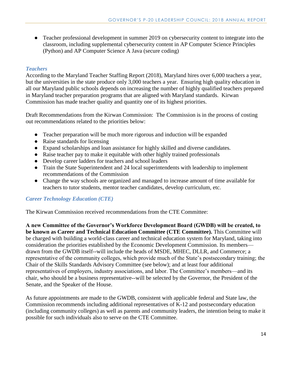• Teacher professional development in summer 2019 on cybersecurity content to integrate into the classroom, including supplemental cybersecurity content in AP Computer Science Principles (Python) and AP Computer Science A Java (secure coding)

# <span id="page-13-0"></span>*Teachers*

According to the Maryland Teacher Staffing Report (2018), Maryland hires over 6,000 teachers a year, but the universities in the state produce only 3,000 teachers a year. Ensuring high quality education in all our Maryland public schools depends on increasing the number of highly qualified teachers prepared in Maryland teacher preparation programs that are aligned with Maryland standards. Kirwan Commission has made teacher quality and quantity one of its highest priorities.

Draft Recommendations from the Kirwan Commission: The Commission is in the process of costing out recommendations related to the priorities below:

- Teacher preparation will be much more rigorous and induction will be expanded
- Raise standards for licensing
- Expand scholarships and loan assistance for highly skilled and diverse candidates.
- Raise teacher pay to make it equitable with other highly trained professionals
- Develop career ladders for teachers and school leaders
- Train the State Superintendent and 24 local superintendents with leadership to implement recommendations of the Commission
- Change the way schools are organized and managed to increase amount of time available for teachers to tutor students, mentor teacher candidates, develop curriculum, etc.

# <span id="page-13-1"></span>*Career Technology Education (CTE)*

The Kirwan Commission received recommendations from the CTE Committee:

**A new Committee of the Governor's Workforce Development Board (GWDB) will be created, to be known as Career and Technical Education Committee (CTE Committee).** This Committee will be charged with building a world-class career and technical education system for Maryland, taking into consideration the priorities established by the Economic Development Commission. Its members drawn from the GWDB itself--will include the heads of MSDE, MHEC, DLLR, and Commerce; a representative of the community colleges, which provide much of the State's postsecondary training; the Chair of the Skills Standards Advisory Committee (see below); and at least four additional representatives of employers, industry associations, and labor. The Committee's members—and its chair, who should be a business representative--will be selected by the Governor, the President of the Senate, and the Speaker of the House.

As future appointments are made to the GWDB, consistent with applicable federal and State law, the Commission recommends including additional representatives of K-12 and postsecondary education (including community colleges) as well as parents and community leaders, the intention being to make it possible for such individuals also to serve on the CTE Committee.